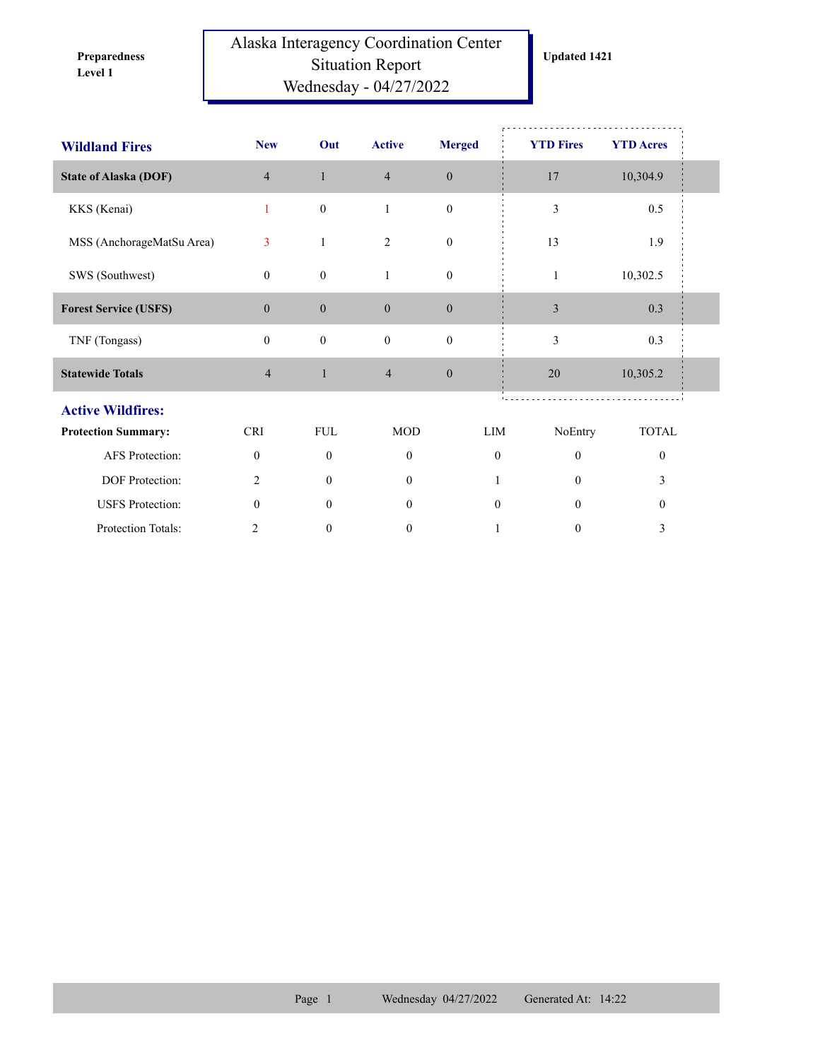**Level 1 Preparedness** 

## Alaska Interagency Coordination Center Situation Report Wednesday - 04/27/2022

| <b>Wildland Fires</b>        | <b>New</b>       | Out              | <b>Active</b>  | <b>Merged</b>    | <b>YTD Fires</b>             | <b>YTD Acres</b> |  |
|------------------------------|------------------|------------------|----------------|------------------|------------------------------|------------------|--|
| <b>State of Alaska (DOF)</b> | $\overline{4}$   | $\mathbf{1}$     | $\overline{4}$ | $\boldsymbol{0}$ | 17                           | 10,304.9         |  |
| KKS (Kenai)                  | $\mathbf{1}$     | $\boldsymbol{0}$ | $\mathbf{1}$   | $\mathbf{0}$     | 3                            | $0.5\,$          |  |
| MSS (AnchorageMatSu Area)    | 3                | 1                | 2              | $\boldsymbol{0}$ | 13                           | 1.9              |  |
| SWS (Southwest)              | $\overline{0}$   | $\boldsymbol{0}$ | $\mathbf{1}$   | $\boldsymbol{0}$ | $\mathbf{1}$                 | 10,302.5         |  |
| <b>Forest Service (USFS)</b> | $\boldsymbol{0}$ | $\boldsymbol{0}$ | $\mathbf{0}$   | $\boldsymbol{0}$ | $\mathfrak{Z}$               | 0.3              |  |
| TNF (Tongass)                | $\mathbf{0}$     | $\boldsymbol{0}$ | $\mathbf{0}$   | $\mathbf{0}$     | 3                            | 0.3              |  |
| <b>Statewide Totals</b>      | $\overline{4}$   | $\mathbf{1}$     | $\overline{4}$ | $\boldsymbol{0}$ | 20                           | 10,305.2         |  |
| <b>Active Wildfires:</b>     |                  |                  |                |                  |                              |                  |  |
| <b>Protection Summary:</b>   | <b>CRI</b>       | <b>FUL</b>       | <b>MOD</b>     |                  | LIM<br>NoEntry               | <b>TOTAL</b>     |  |
| AFS Protection:              | $\mathbf{0}$     | $\mathbf{0}$     | $\mathbf{0}$   |                  | $\mathbf{0}$<br>$\mathbf{0}$ | $\mathbf{0}$     |  |
| DOF Protection:              | $\overline{c}$   | $\theta$         | $\mathbf{0}$   |                  | $\theta$                     | 3                |  |
| <b>USFS</b> Protection:      | $\mathbf{0}$     | $\theta$         | $\overline{0}$ |                  | $\mathbf{0}$<br>$\theta$     | $\boldsymbol{0}$ |  |
| Protection Totals:           | 2                | $\boldsymbol{0}$ | $\mathbf{0}$   |                  | $\boldsymbol{0}$<br>1        | 3                |  |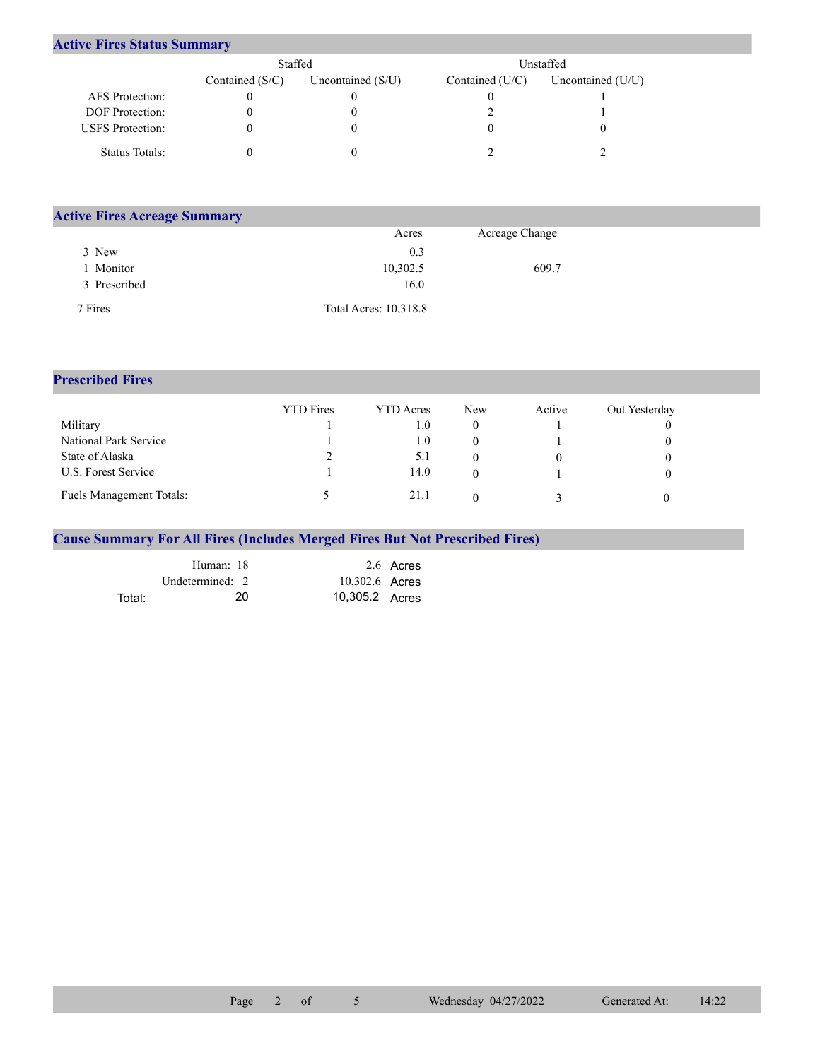## **Active Fires Status Summary**

|                         | Staffed           |                     |                   | Unstaffed           |  |
|-------------------------|-------------------|---------------------|-------------------|---------------------|--|
|                         | Contained $(S/C)$ | Uncontained $(S/U)$ | Contained $(U/C)$ | Uncontained $(U/U)$ |  |
| AFS Protection:         |                   |                     |                   |                     |  |
| <b>DOF</b> Protection:  |                   |                     |                   |                     |  |
| <b>USFS</b> Protection: |                   |                     |                   |                     |  |
| Status Totals:          |                   |                     |                   |                     |  |

| <b>Active Fires Acreage Summary</b> |                       |                |  |
|-------------------------------------|-----------------------|----------------|--|
|                                     | Acres                 | Acreage Change |  |
| 3 New                               | 0.3                   |                |  |
| Monitor                             | 10,302.5              | 609.7          |  |
| 3 Prescribed                        | 16.0                  |                |  |
| 7 Fires                             | Total Acres: 10,318.8 |                |  |

## **Prescribed Fires**

|                                 | <b>YTD</b> Fires | <b>YTD</b> Acres | New | Active | Out Yesterday |
|---------------------------------|------------------|------------------|-----|--------|---------------|
| Military                        |                  | 1.0              |     |        |               |
| National Park Service           |                  | 1.0              |     |        |               |
| State of Alaska                 | ∠                | 5.1              |     |        |               |
| U.S. Forest Service             |                  | 14.0             |     |        |               |
| <b>Fuels Management Totals:</b> |                  | 21.1             |     |        |               |

## **Cause Summary For All Fires (Includes Merged Fires But Not Prescribed Fires)**

|        | Human: 18       | 2.6 Acres      |  |
|--------|-----------------|----------------|--|
|        | Undetermined: 2 | 10,302.6 Acres |  |
| Total: | 20              | 10,305.2 Acres |  |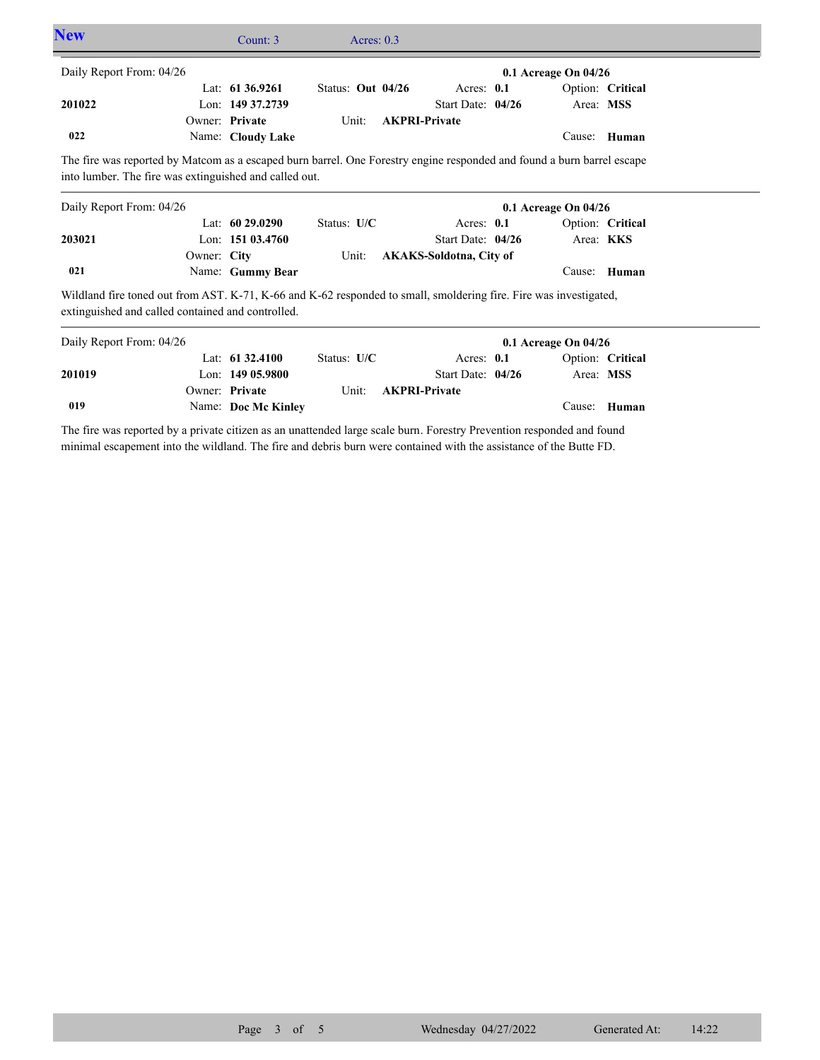| <b>New</b>               |                                                                                                                                                                        | Count: 3            | Acres: $0.3$      |                      |                                |                      |                               |  |
|--------------------------|------------------------------------------------------------------------------------------------------------------------------------------------------------------------|---------------------|-------------------|----------------------|--------------------------------|----------------------|-------------------------------|--|
| Daily Report From: 04/26 |                                                                                                                                                                        |                     |                   |                      |                                | 0.1 Acreage On 04/26 |                               |  |
|                          |                                                                                                                                                                        | Lat: $61\,36.9261$  | Status: Out 04/26 |                      | Acres: 0.1                     |                      | Option: Critical              |  |
| 201022                   |                                                                                                                                                                        | Lon: 149 37.2739    |                   |                      | Start Date: 04/26              | Area: MSS            |                               |  |
|                          |                                                                                                                                                                        | Owner: Private      | Unit:             | <b>AKPRI-Private</b> |                                |                      |                               |  |
| 022                      |                                                                                                                                                                        | Name: Cloudy Lake   |                   |                      |                                |                      | Cause: Human                  |  |
|                          | into lumber. The fire was extinguished and called out.                                                                                                                 |                     |                   |                      |                                |                      |                               |  |
| Daily Report From: 04/26 |                                                                                                                                                                        | Lat: $6029.0290$    | Status: U/C       |                      | Acres: $0.1$                   | 0.1 Acreage On 04/26 |                               |  |
| 203021                   |                                                                                                                                                                        | Lon: 151 03.4760    |                   |                      | Start Date: 04/26              |                      | Option: Critical<br>Area: KKS |  |
|                          | Owner: City                                                                                                                                                            |                     | Unit:             |                      | <b>AKAKS-Soldotna, City of</b> |                      |                               |  |
| 021                      |                                                                                                                                                                        | Name: Gummy Bear    |                   |                      |                                |                      | Cause: Human                  |  |
|                          | Wildland fire toned out from AST. K-71, K-66 and K-62 responded to small, smoldering fire. Fire was investigated,<br>extinguished and called contained and controlled. |                     |                   |                      |                                |                      |                               |  |
| Daily Report From: 04/26 |                                                                                                                                                                        |                     |                   |                      |                                | 0.1 Acreage On 04/26 |                               |  |
|                          |                                                                                                                                                                        | Lat: $61\,32.4100$  | Status: U/C       |                      | Acres: 0.1                     |                      | Option: Critical              |  |
| 201019                   |                                                                                                                                                                        | Lon: $14905.9800$   |                   |                      | Start Date: 04/26              | Area: MSS            |                               |  |
|                          |                                                                                                                                                                        | Owner: Private      | Unit:             | <b>AKPRI-Private</b> |                                |                      |                               |  |
| 019                      |                                                                                                                                                                        | Name: Doc Mc Kinley |                   |                      |                                | Cause:               | Human                         |  |

The fire was reported by a private citizen as an unattended large scale burn. Forestry Prevention responded and found minimal escapement into the wildland. The fire and debris burn were contained with the assistance of the Butte FD.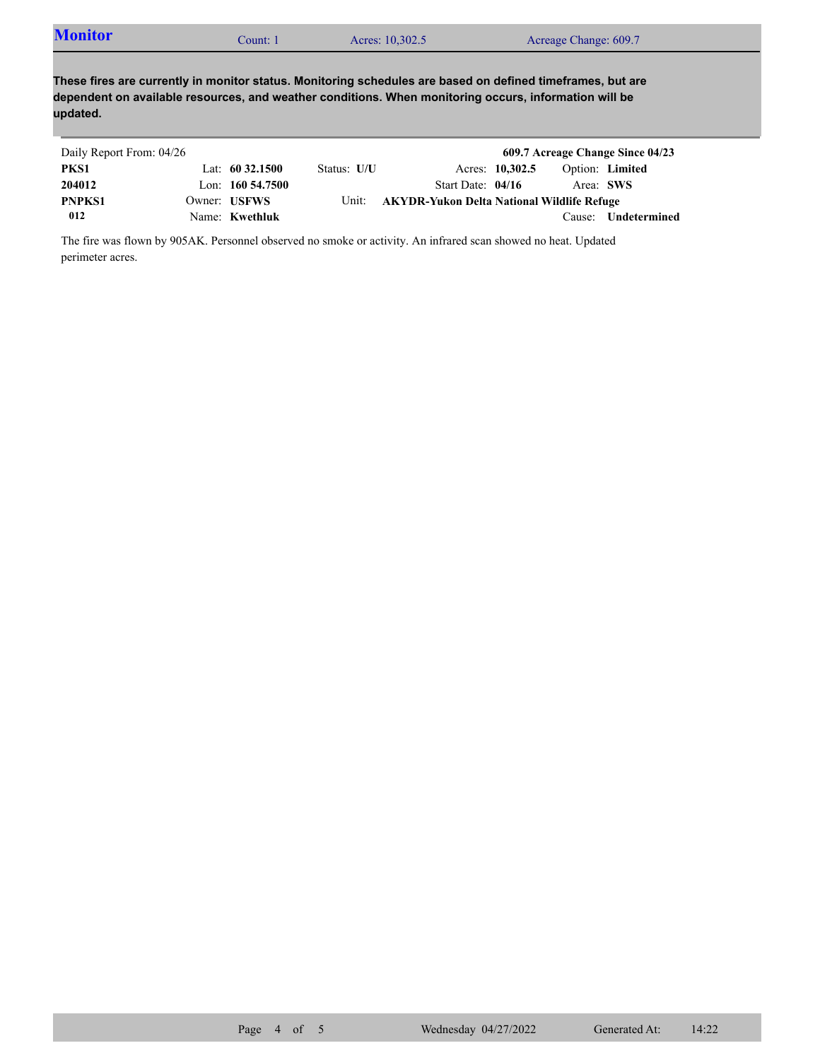| <b>Monitor</b> | Count: 1 | Acres: 10,302.5 | Acreage Change: 609.7 |
|----------------|----------|-----------------|-----------------------|
|----------------|----------|-----------------|-----------------------|

**These fires are currently in monitor status. Monitoring schedules are based on defined timeframes, but are dependent on available resources, and weather conditions. When monitoring occurs, information will be updated.**

| Daily Report From: 04/26 |                     |             |                                                   |                 |                        | 609.7 Acreage Change Since 04/23 |
|--------------------------|---------------------|-------------|---------------------------------------------------|-----------------|------------------------|----------------------------------|
| PKS1                     | Lat: $60\,32.1500$  | Status: U/U |                                                   | Acres: 10,302.5 | <b>Option:</b> Limited |                                  |
| 204012                   | Lon: $160\,54.7500$ |             | Start Date: $04/16$                               |                 | Area: SWS              |                                  |
| <b>PNPKS1</b>            | Owner: USFWS        | Unit:       | <b>AKYDR-Yukon Delta National Wildlife Refuge</b> |                 |                        |                                  |
| 012                      | Name: Kwethluk      |             |                                                   |                 | Cause:                 | Undetermined                     |

The fire was flown by 905AK. Personnel observed no smoke or activity. An infrared scan showed no heat. Updated perimeter acres.